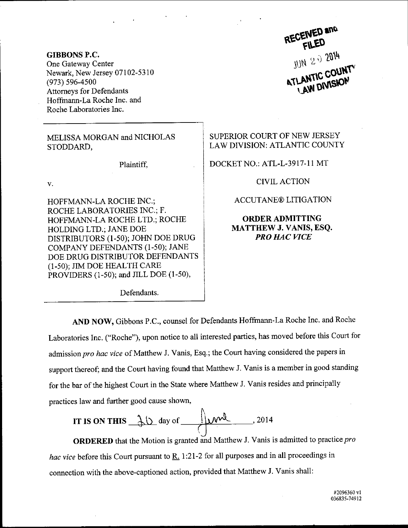RECEIVED and FILED JUN 202014

GIBBONS P,C. One Gateway Center Newark, New Jersey 07102-5310 (973) s96-4500 Attorneys for Defendants Hoffmann-La Roche Inc. and Roche Laboratories Inc.

MELISSA MORGAN and NICHOLAS STODDARD,

Plaintiff.

 $\mathbf{V}$ .

HOFFMANN.LA ROCHE INC.; ROCHE LABORATORIES INC.; F. HOFFMANN-LA ROCHE LTD.; ROCHE HOLDING LTD.; JANE DOE DISTRIBUTORS (l-50); JOHN DoE DRUG COMPANY DEFENDANTS (1-50); JANE DOE DRUG DISTRIBUTOR DEFENDANTS (1-50); JIM DOE HEALTH CARE PROVIDERS (1-50); and JILL DOE (1-50),

Defendants.

SUPERIOR COURT OF NEW JERSEY LAW DIVISION: ATLANTIC COUNTY

DOCKET NO.: ATL-L-3917-11 MT

CIVILACTION

ACCUTANE@ LITIGATION

ORDERADMITTING MATTHEW J. VANIS, ESQ. PRO HAC WCE

AND NOW, Gibbons P.C., counsel for Defendants Hoffmann-La Roche Inc. and Roche Laboratories Inc. ("Roche"), upon notice to all interested parties, has moved before this Court for admission pro hac vice of Matthew J. Vanis, Esq.; the Court having considered the papers in support thereof; and the Court having found that Matthew J. Vanis is a member in good standing for the bar of the highest Court in the State where Matthew J. Vanis resides and principally practices law and further good cause shown,

IT IS ON THIS 
$$
\frac{\lambda \Delta}{\alpha}
$$
 day of  $\frac{\lambda \mu}{\alpha}$ , 2014

**ORDERED** that the Motion is granted and Matthew J. Vanis is admitted to practice *pro* hac vice before this Court pursuant to  $\underline{R}$ . 1:21-2 for all purposes and in all proceedings in connection with the above-captioned action, provided that Matthew J. Vanis shall: